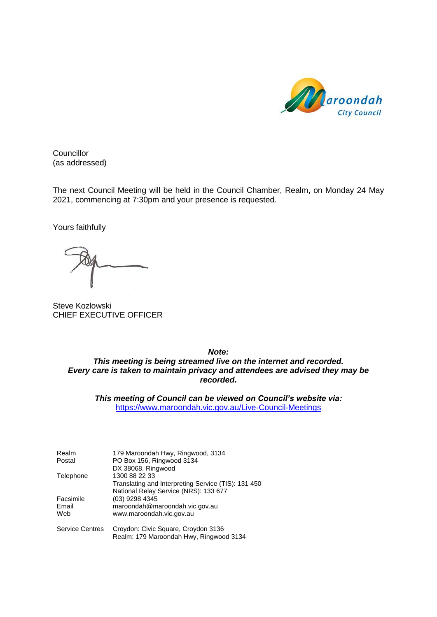

**Councillor** (as addressed)

The next Council Meeting will be held in the Council Chamber, Realm, on Monday 24 May 2021, commencing at 7:30pm and your presence is requested.

Yours faithfully

Steve Kozlowski CHIEF EXECUTIVE OFFICER

*Note: This meeting is being streamed live on the internet and recorded. Every care is taken to maintain privacy and attendees are advised they may be recorded.*

*This meeting of Council can be viewed on Council's website via:* <https://www.maroondah.vic.gov.au/Live-Council-Meetings>

| Realm                  | 179 Maroondah Hwy, Ringwood, 3134                   |
|------------------------|-----------------------------------------------------|
| Postal                 | PO Box 156, Ringwood 3134                           |
|                        | DX 38068, Ringwood                                  |
| Telephone              | 1300 88 22 33                                       |
|                        | Translating and Interpreting Service (TIS): 131 450 |
|                        | National Relay Service (NRS): 133 677               |
| Facsimile              | (03) 9298 4345                                      |
| Email                  | maroondah@maroondah.vic.gov.au                      |
| Web                    | www.maroondah.vic.gov.au                            |
| <b>Service Centres</b> | Croydon: Civic Square, Croydon 3136                 |
|                        | Realm: 179 Maroondah Hwy, Ringwood 3134             |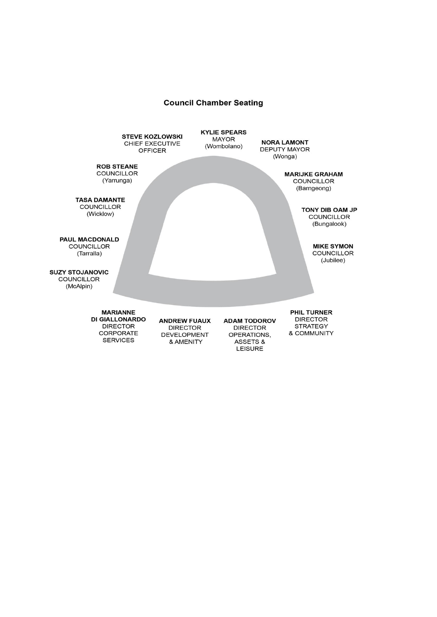### **Council Chamber Seating**

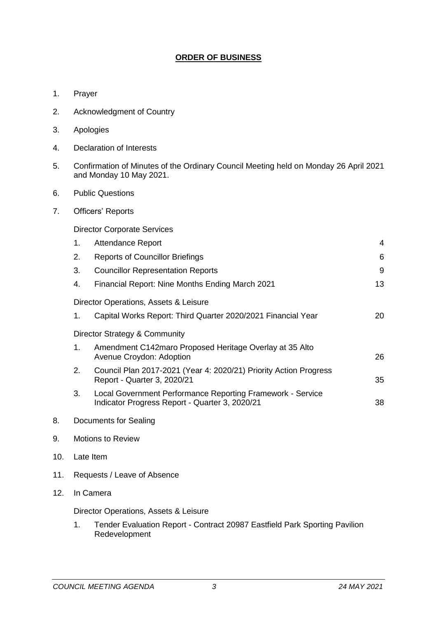## **ORDER OF BUSINESS**

- 1. Prayer
- 2. Acknowledgment of Country
- 3. Apologies
- 4. Declaration of Interests
- 5. Confirmation of Minutes of the Ordinary Council Meeting held on Monday 26 April 2021 and Monday 10 May 2021.
- 6. Public Questions
- 7. Officers' Reports

Director Corporate Services

|    | 1. | <b>Attendance Report</b>                                                                                     | 4  |  |  |  |
|----|----|--------------------------------------------------------------------------------------------------------------|----|--|--|--|
|    | 2. | <b>Reports of Councillor Briefings</b>                                                                       | 6  |  |  |  |
|    | 3. | <b>Councillor Representation Reports</b>                                                                     | 9  |  |  |  |
|    | 4. | Financial Report: Nine Months Ending March 2021                                                              | 13 |  |  |  |
|    |    | Director Operations, Assets & Leisure                                                                        |    |  |  |  |
|    | 1. | Capital Works Report: Third Quarter 2020/2021 Financial Year                                                 | 20 |  |  |  |
|    |    | Director Strategy & Community                                                                                |    |  |  |  |
|    | 1. | Amendment C142maro Proposed Heritage Overlay at 35 Alto<br>Avenue Croydon: Adoption                          | 26 |  |  |  |
|    | 2. | Council Plan 2017-2021 (Year 4: 2020/21) Priority Action Progress<br>Report - Quarter 3, 2020/21             | 35 |  |  |  |
|    | 3. | Local Government Performance Reporting Framework - Service<br>Indicator Progress Report - Quarter 3, 2020/21 | 38 |  |  |  |
| 8. |    | Documents for Sealing                                                                                        |    |  |  |  |

- 
- 9. Motions to Review
- 10. Late Item
- 11. Requests / Leave of Absence
- 12. In Camera

Director Operations, Assets & Leisure

1. Tender Evaluation Report - Contract 20987 Eastfield Park Sporting Pavilion Redevelopment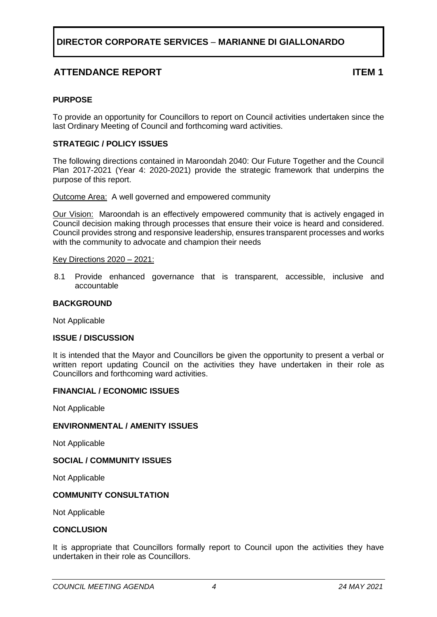## **ATTENDANCE REPORT ITEM 1**

### <span id="page-3-0"></span>**PURPOSE**

To provide an opportunity for Councillors to report on Council activities undertaken since the last Ordinary Meeting of Council and forthcoming ward activities.

### **STRATEGIC / POLICY ISSUES**

The following directions contained in Maroondah 2040: Our Future Together and the Council Plan 2017-2021 (Year 4: 2020-2021) provide the strategic framework that underpins the purpose of this report.

Outcome Area:A well governed and empowered community

Our Vision:Maroondah is an effectively empowered community that is actively engaged in Council decision making through processes that ensure their voice is heard and considered. Council provides strong and responsive leadership, ensures transparent processes and works with the community to advocate and champion their needs

### Key Directions 2020 – 2021:

8.1 Provide enhanced governance that is transparent, accessible, inclusive and accountable

### **BACKGROUND**

Not Applicable

### **ISSUE / DISCUSSION**

It is intended that the Mayor and Councillors be given the opportunity to present a verbal or written report updating Council on the activities they have undertaken in their role as Councillors and forthcoming ward activities.

### **FINANCIAL / ECONOMIC ISSUES**

Not Applicable

### **ENVIRONMENTAL / AMENITY ISSUES**

Not Applicable

### **SOCIAL / COMMUNITY ISSUES**

Not Applicable

### **COMMUNITY CONSULTATION**

Not Applicable

### **CONCLUSION**

It is appropriate that Councillors formally report to Council upon the activities they have undertaken in their role as Councillors.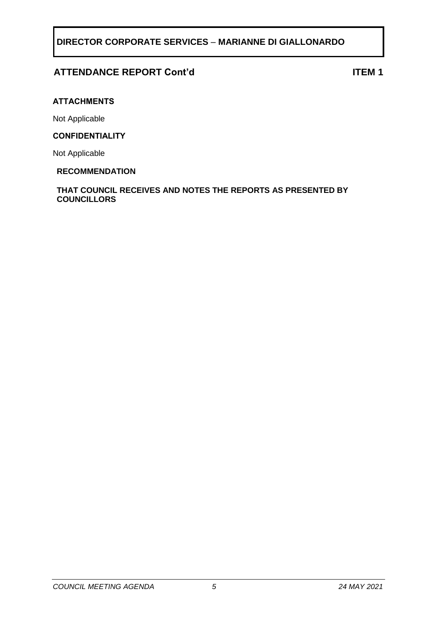## **ATTENDANCE REPORT Cont'd ITEM 1**

### **ATTACHMENTS**

Not Applicable

### **CONFIDENTIALITY**

Not Applicable

### **RECOMMENDATION**

**THAT COUNCIL RECEIVES AND NOTES THE REPORTS AS PRESENTED BY COUNCILLORS**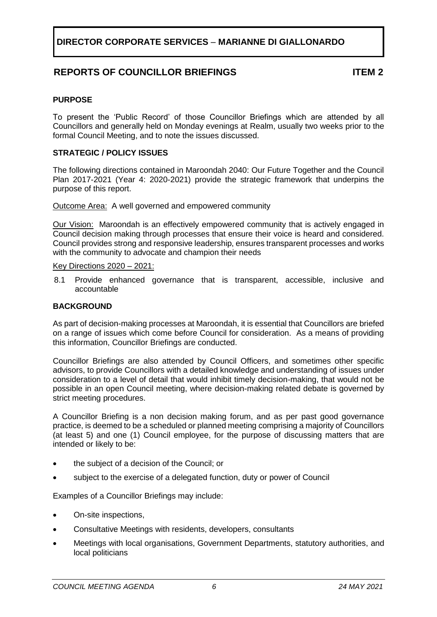## **REPORTS OF COUNCILLOR BRIEFINGS ITEM 2**

### <span id="page-5-0"></span>**PURPOSE**

To present the 'Public Record' of those Councillor Briefings which are attended by all Councillors and generally held on Monday evenings at Realm, usually two weeks prior to the formal Council Meeting, and to note the issues discussed.

### **STRATEGIC / POLICY ISSUES**

The following directions contained in Maroondah 2040: Our Future Together and the Council Plan 2017-2021 (Year 4: 2020-2021) provide the strategic framework that underpins the purpose of this report.

Outcome Area: A well governed and empowered community

Our Vision:Maroondah is an effectively empowered community that is actively engaged in Council decision making through processes that ensure their voice is heard and considered. Council provides strong and responsive leadership, ensures transparent processes and works with the community to advocate and champion their needs

Key Directions 2020 – 2021:

8.1 Provide enhanced governance that is transparent, accessible, inclusive and accountable

### **BACKGROUND**

As part of decision-making processes at Maroondah, it is essential that Councillors are briefed on a range of issues which come before Council for consideration. As a means of providing this information, Councillor Briefings are conducted.

Councillor Briefings are also attended by Council Officers, and sometimes other specific advisors, to provide Councillors with a detailed knowledge and understanding of issues under consideration to a level of detail that would inhibit timely decision-making, that would not be possible in an open Council meeting, where decision-making related debate is governed by strict meeting procedures.

A Councillor Briefing is a non decision making forum, and as per past good governance practice, is deemed to be a scheduled or planned meeting comprising a majority of Councillors (at least 5) and one (1) Council employee, for the purpose of discussing matters that are intended or likely to be:

- the subject of a decision of the Council; or
- subject to the exercise of a delegated function, duty or power of Council

Examples of a Councillor Briefings may include:

- On-site inspections,
- Consultative Meetings with residents, developers, consultants
- Meetings with local organisations, Government Departments, statutory authorities, and local politicians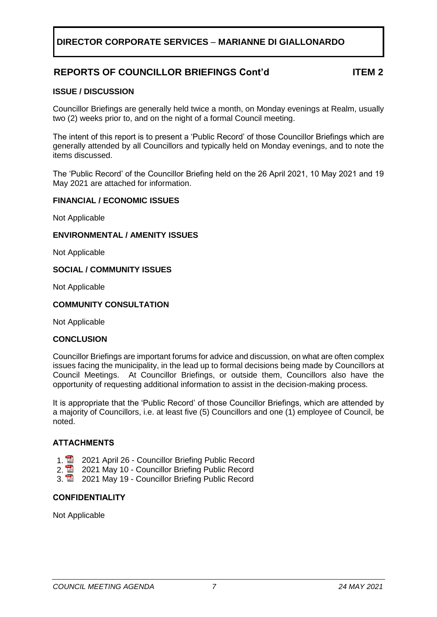## **REPORTS OF COUNCILLOR BRIEFINGS Cont'd ITEM 2**

### **ISSUE / DISCUSSION**

Councillor Briefings are generally held twice a month, on Monday evenings at Realm, usually two (2) weeks prior to, and on the night of a formal Council meeting.

The intent of this report is to present a 'Public Record' of those Councillor Briefings which are generally attended by all Councillors and typically held on Monday evenings, and to note the items discussed.

The 'Public Record' of the Councillor Briefing held on the 26 April 2021, 10 May 2021 and 19 May 2021 are attached for information.

### **FINANCIAL / ECONOMIC ISSUES**

Not Applicable

### **ENVIRONMENTAL / AMENITY ISSUES**

Not Applicable

### **SOCIAL / COMMUNITY ISSUES**

Not Applicable

### **COMMUNITY CONSULTATION**

Not Applicable

### **CONCLUSION**

Councillor Briefings are important forums for advice and discussion, on what are often complex issues facing the municipality, in the lead up to formal decisions being made by Councillors at Council Meetings. At Councillor Briefings, or outside them, Councillors also have the opportunity of requesting additional information to assist in the decision-making process.

It is appropriate that the 'Public Record' of those Councillor Briefings, which are attended by a majority of Councillors, i.e. at least five (5) Councillors and one (1) employee of Council, be noted.

### **ATTACHMENTS**

- 
- 1. **2021 April 26 Councillor Briefing Public Record**<br>2. **2** 2021 May 10 Councillor Briefing Public Record 2021 May 10 - Councillor Briefing Public Record
- 3. 2021 May 19 Councillor Briefing Public Record

### **CONFIDENTIALITY**

Not Applicable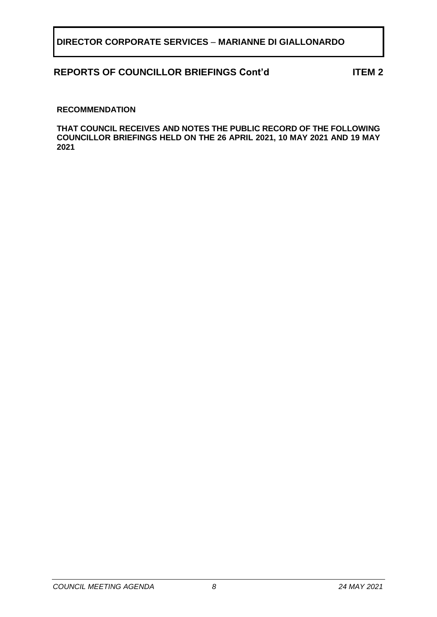## **REPORTS OF COUNCILLOR BRIEFINGS Cont'd ITEM 2**

### **RECOMMENDATION**

**THAT COUNCIL RECEIVES AND NOTES THE PUBLIC RECORD OF THE FOLLOWING COUNCILLOR BRIEFINGS HELD ON THE 26 APRIL 2021, 10 MAY 2021 AND 19 MAY 2021**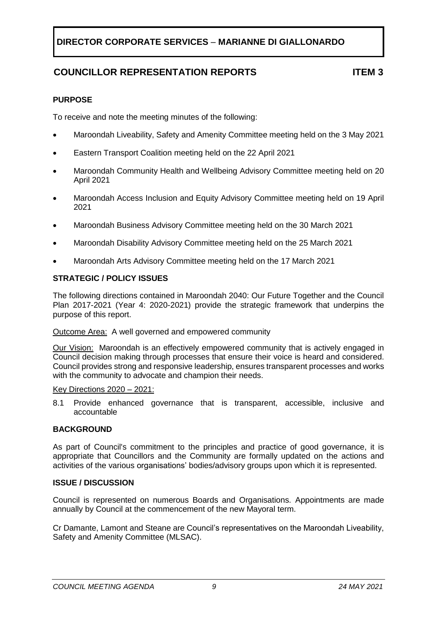# **COUNCILLOR REPRESENTATION REPORTS ITEM 3**

## <span id="page-8-0"></span>**PURPOSE**

To receive and note the meeting minutes of the following:

- Maroondah Liveability, Safety and Amenity Committee meeting held on the 3 May 2021
- Eastern Transport Coalition meeting held on the 22 April 2021
- Maroondah Community Health and Wellbeing Advisory Committee meeting held on 20 April 2021
- Maroondah Access Inclusion and Equity Advisory Committee meeting held on 19 April 2021
- Maroondah Business Advisory Committee meeting held on the 30 March 2021
- Maroondah Disability Advisory Committee meeting held on the 25 March 2021
- Maroondah Arts Advisory Committee meeting held on the 17 March 2021

## **STRATEGIC / POLICY ISSUES**

The following directions contained in Maroondah 2040: Our Future Together and the Council Plan 2017-2021 (Year 4: 2020-2021) provide the strategic framework that underpins the purpose of this report.

### Outcome Area: A well governed and empowered community

Our Vision:Maroondah is an effectively empowered community that is actively engaged in Council decision making through processes that ensure their voice is heard and considered. Council provides strong and responsive leadership, ensures transparent processes and works with the community to advocate and champion their needs.

### Key Directions 2020 – 2021:

8.1 Provide enhanced governance that is transparent, accessible, inclusive and accountable

### **BACKGROUND**

As part of Council's commitment to the principles and practice of good governance, it is appropriate that Councillors and the Community are formally updated on the actions and activities of the various organisations' bodies/advisory groups upon which it is represented.

### **ISSUE / DISCUSSION**

Council is represented on numerous Boards and Organisations. Appointments are made annually by Council at the commencement of the new Mayoral term.

Cr Damante, Lamont and Steane are Council's representatives on the Maroondah Liveability, Safety and Amenity Committee (MLSAC).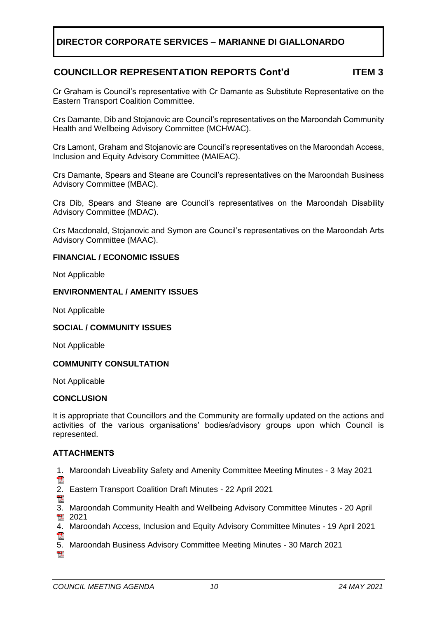## **COUNCILLOR REPRESENTATION REPORTS Cont'd ITEM 3**

Cr Graham is Council's representative with Cr Damante as Substitute Representative on the Eastern Transport Coalition Committee.

Crs Damante, Dib and Stojanovic are Council's representatives on the Maroondah Community Health and Wellbeing Advisory Committee (MCHWAC).

Crs Lamont, Graham and Stojanovic are Council's representatives on the Maroondah Access, Inclusion and Equity Advisory Committee (MAIEAC).

Crs Damante, Spears and Steane are Council's representatives on the Maroondah Business Advisory Committee (MBAC).

Crs Dib, Spears and Steane are Council's representatives on the Maroondah Disability Advisory Committee (MDAC).

Crs Macdonald, Stojanovic and Symon are Council's representatives on the Maroondah Arts Advisory Committee (MAAC).

### **FINANCIAL / ECONOMIC ISSUES**

Not Applicable

### **ENVIRONMENTAL / AMENITY ISSUES**

Not Applicable

### **SOCIAL / COMMUNITY ISSUES**

Not Applicable

### **COMMUNITY CONSULTATION**

Not Applicable

### **CONCLUSION**

It is appropriate that Councillors and the Community are formally updated on the actions and activities of the various organisations' bodies/advisory groups upon which Council is represented.

### **ATTACHMENTS**

1. Maroondah Liveability Safety and Amenity Committee Meeting Minutes - 3 May 2021

- **POP**
- 2. Eastern Transport Coalition Draft Minutes 22 April 2021
- $\frac{1}{\sqrt{2}}$
- 3. Maroondah Community Health and Wellbeing Advisory Committee Minutes 20 April  $2021$
- 4. Maroondah Access, Inclusion and Equity Advisory Committee Minutes 19 April 2021 **Port**
- 5. Maroondah Business Advisory Committee Meeting Minutes 30 March 2021門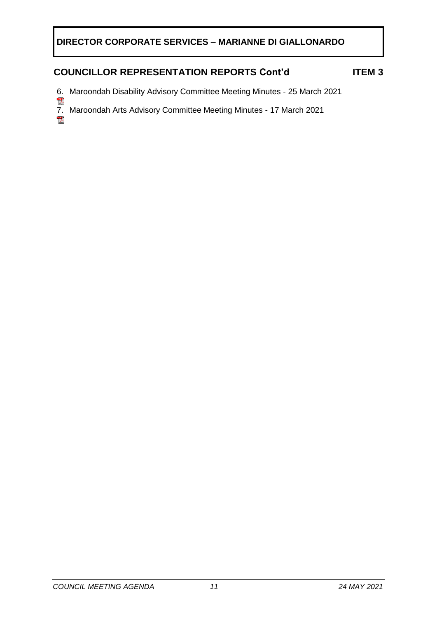## **COUNCILLOR REPRESENTATION REPORTS Cont'd ITEM 3**

- 6. Maroondah Disability Advisory Committee Meeting Minutes 25 March 2021
- 7. Maroondah Arts Advisory Committee Meeting Minutes 17 March 2021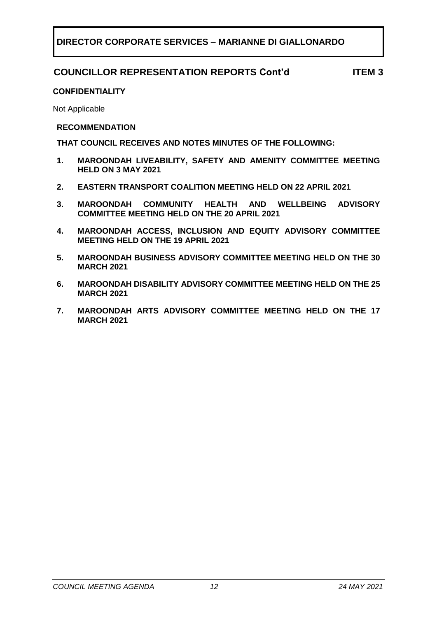## **COUNCILLOR REPRESENTATION REPORTS Cont'd ITEM 3**

### **CONFIDENTIALITY**

Not Applicable

### **RECOMMENDATION**

**THAT COUNCIL RECEIVES AND NOTES MINUTES OF THE FOLLOWING:**

- **1. MAROONDAH LIVEABILITY, SAFETY AND AMENITY COMMITTEE MEETING HELD ON 3 MAY 2021**
- **2. EASTERN TRANSPORT COALITION MEETING HELD ON 22 APRIL 2021**
- **3. MAROONDAH COMMUNITY HEALTH AND WELLBEING ADVISORY COMMITTEE MEETING HELD ON THE 20 APRIL 2021**
- **4. MAROONDAH ACCESS, INCLUSION AND EQUITY ADVISORY COMMITTEE MEETING HELD ON THE 19 APRIL 2021**
- **5. MAROONDAH BUSINESS ADVISORY COMMITTEE MEETING HELD ON THE 30 MARCH 2021**
- **6. MAROONDAH DISABILITY ADVISORY COMMITTEE MEETING HELD ON THE 25 MARCH 2021**
- **7. MAROONDAH ARTS ADVISORY COMMITTEE MEETING HELD ON THE 17 MARCH 2021**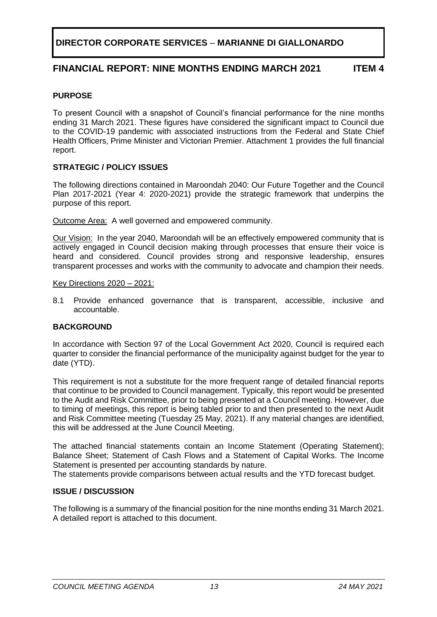## **FINANCIAL REPORT: NINE MONTHS ENDING MARCH 2021 ITEM 4**

### <span id="page-12-0"></span>**PURPOSE**

To present Council with a snapshot of Council's financial performance for the nine months ending 31 March 2021. These figures have considered the significant impact to Council due to the COVID-19 pandemic with associated instructions from the Federal and State Chief Health Officers, Prime Minister and Victorian Premier. Attachment 1 provides the full financial report.

### **STRATEGIC / POLICY ISSUES**

The following directions contained in Maroondah 2040: Our Future Together and the Council Plan 2017-2021 (Year 4: 2020-2021) provide the strategic framework that underpins the purpose of this report.

Outcome Area:A well governed and empowered community.

Our Vision:In the year 2040, Maroondah will be an effectively empowered community that is actively engaged in Council decision making through processes that ensure their voice is heard and considered. Council provides strong and responsive leadership, ensures transparent processes and works with the community to advocate and champion their needs.

### Key Directions 2020 – 2021:

8.1 Provide enhanced governance that is transparent, accessible, inclusive and accountable.

### **BACKGROUND**

In accordance with Section 97 of the Local Government Act 2020, Council is required each quarter to consider the financial performance of the municipality against budget for the year to date (YTD).

This requirement is not a substitute for the more frequent range of detailed financial reports that continue to be provided to Council management. Typically, this report would be presented to the Audit and Risk Committee, prior to being presented at a Council meeting. However, due to timing of meetings, this report is being tabled prior to and then presented to the next Audit and Risk Committee meeting (Tuesday 25 May, 2021). If any material changes are identified, this will be addressed at the June Council Meeting.

The attached financial statements contain an Income Statement (Operating Statement); Balance Sheet; Statement of Cash Flows and a Statement of Capital Works. The Income Statement is presented per accounting standards by nature.

The statements provide comparisons between actual results and the YTD forecast budget.

### **ISSUE / DISCUSSION**

The following is a summary of the financial position for the nine months ending 31 March 2021. A detailed report is attached to this document.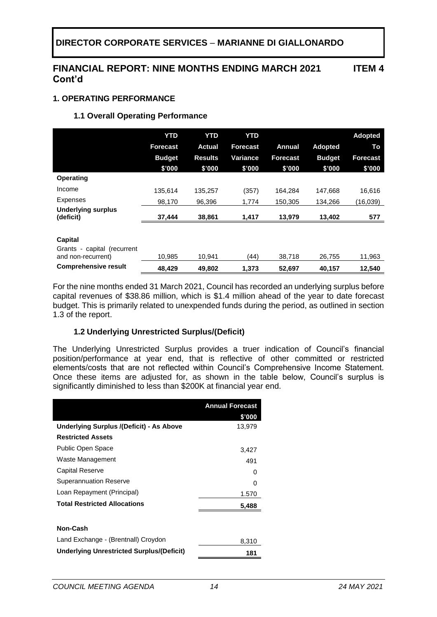## **FINANCIAL REPORT: NINE MONTHS ENDING MARCH 2021 Cont'd**

## **1. OPERATING PERFORMANCE**

### **1.1 Overall Operating Performance**

|                                                   | <b>YTD</b>      | <b>YTD</b>     | <b>YTD</b> |          |                | <b>Adopted</b>  |
|---------------------------------------------------|-----------------|----------------|------------|----------|----------------|-----------------|
|                                                   | <b>Forecast</b> | Actual         | Forecast   | Annual   | <b>Adopted</b> | To              |
|                                                   | <b>Budget</b>   | <b>Results</b> | Variance   | Forecast | <b>Budget</b>  | <b>Forecast</b> |
|                                                   | \$'000          | \$'000         | \$'000     | \$'000   | \$'000         | \$'000          |
| <b>Operating</b>                                  |                 |                |            |          |                |                 |
| Income                                            | 135.614         | 135,257        | (357)      | 164,284  | 147.668        | 16,616          |
| <b>Expenses</b>                                   | 98,170          | 96,396         | 1,774      | 150,305  | 134,266        | (16,039)        |
| <b>Underlying surplus</b><br>(deficit)            | 37,444          | 38,861         | 1,417      | 13,979   | 13,402         | 577             |
|                                                   |                 |                |            |          |                |                 |
| Capital                                           |                 |                |            |          |                |                 |
| Grants - capital (recurrent<br>and non-recurrent) | 10,985          | 10,941         | (44)       | 38,718   | 26,755         | 11,963          |
| <b>Comprehensive result</b>                       | 48,429          | 49,802         | 1,373      | 52,697   | 40,157         | 12,540          |

For the nine months ended 31 March 2021, Council has recorded an underlying surplus before capital revenues of \$38.86 million, which is \$1.4 million ahead of the year to date forecast budget. This is primarily related to unexpended funds during the period, as outlined in section 1.3 of the report.

### **1.2 Underlying Unrestricted Surplus/(Deficit)**

The Underlying Unrestricted Surplus provides a truer indication of Council's financial position/performance at year end, that is reflective of other committed or restricted elements/costs that are not reflected within Council's Comprehensive Income Statement. Once these items are adjusted for, as shown in the table below, Council's surplus is significantly diminished to less than \$200K at financial year end.

|                                                 | <b>Annual Forecast</b> |
|-------------------------------------------------|------------------------|
|                                                 | \$'000                 |
| <b>Underlying Surplus /(Deficit) - As Above</b> | 13,979                 |
| <b>Restricted Assets</b>                        |                        |
| Public Open Space                               | 3,427                  |
| Waste Management                                | 491                    |
| Capital Reserve                                 | $\mathbf{0}$           |
| <b>Superannuation Reserve</b>                   | $\mathbf{0}$           |
| Loan Repayment (Principal)                      | 1.570                  |
| <b>Total Restricted Allocations</b>             | 5,488                  |
|                                                 |                        |
| Non-Cash                                        |                        |
| Land Exchange - (Brentnall) Croydon             | 8,310                  |
| Underlying Unrestricted Surplus/(Deficit)       | 181                    |

**ITEM 4**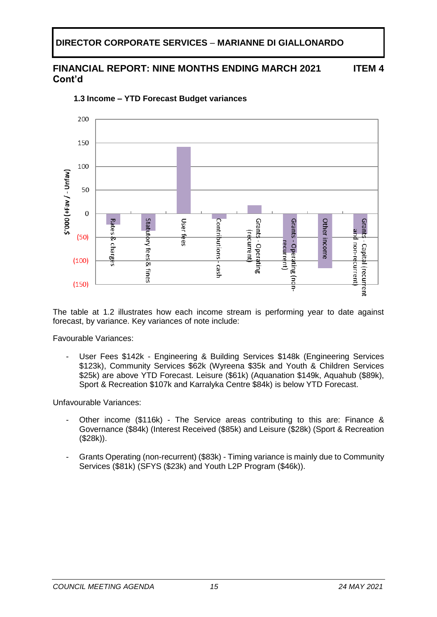#### **FINANCIAL REPORT: NINE MONTHS ENDING MARCH 2021 Cont'd ITEM 4**



**1.3 Income – YTD Forecast Budget variances** 

The table at 1.2 illustrates how each income stream is performing year to date against forecast, by variance. Key variances of note include:

Favourable Variances:

User Fees \$142k - Engineering & Building Services \$148k (Engineering Services \$123k), Community Services \$62k (Wyreena \$35k and Youth & Children Services \$25k) are above YTD Forecast. Leisure (\$61k) (Aquanation \$149k, Aquahub (\$89k), Sport & Recreation \$107k and Karralyka Centre \$84k) is below YTD Forecast.

Unfavourable Variances:

- Other income (\$116k) The Service areas contributing to this are: Finance & Governance (\$84k) (Interest Received (\$85k) and Leisure (\$28k) (Sport & Recreation (\$28k)).
- Grants Operating (non-recurrent) (\$83k) Timing variance is mainly due to Community Services (\$81k) (SFYS (\$23k) and Youth L2P Program (\$46k)).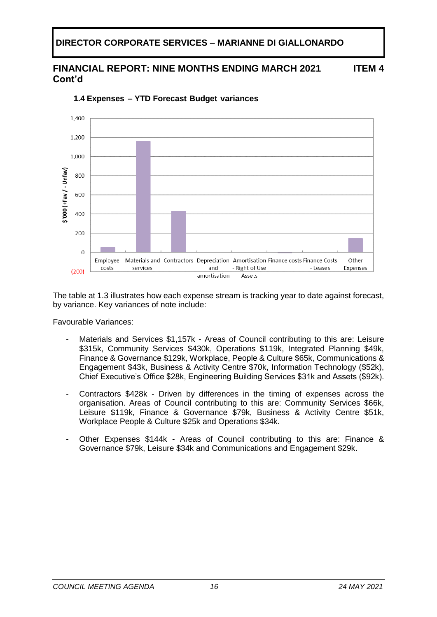#### **FINANCIAL REPORT: NINE MONTHS ENDING MARCH 2021 Cont'd ITEM 4**



**1.4 Expenses – YTD Forecast Budget variances** 

The table at 1.3 illustrates how each expense stream is tracking year to date against forecast, by variance. Key variances of note include:

Favourable Variances:

- Materials and Services \$1,157k Areas of Council contributing to this are: Leisure \$315k, Community Services \$430k, Operations \$119k, Integrated Planning \$49k, Finance & Governance \$129k, Workplace, People & Culture \$65k, Communications & Engagement \$43k, Business & Activity Centre \$70k, Information Technology (\$52k), Chief Executive's Office \$28k, Engineering Building Services \$31k and Assets (\$92k).
- Contractors \$428k Driven by differences in the timing of expenses across the organisation. Areas of Council contributing to this are: Community Services \$66k, Leisure \$119k, Finance & Governance \$79k, Business & Activity Centre \$51k, Workplace People & Culture \$25k and Operations \$34k.
- Other Expenses \$144k Areas of Council contributing to this are: Finance & Governance \$79k, Leisure \$34k and Communications and Engagement \$29k.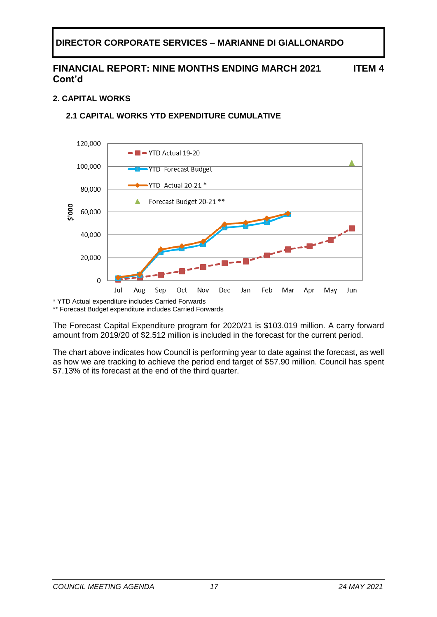### **FINANCIAL REPORT: NINE MONTHS ENDING MARCH 2021 Cont'd ITEM 4**

## **2. CAPITAL WORKS**

## **2.1 CAPITAL WORKS YTD EXPENDITURE CUMULATIVE**



\*\* Forecast Budget expenditure includes Carried Forwards

The Forecast Capital Expenditure program for 2020/21 is \$103.019 million. A carry forward amount from 2019/20 of \$2.512 million is included in the forecast for the current period.

The chart above indicates how Council is performing year to date against the forecast, as well as how we are tracking to achieve the period end target of \$57.90 million. Council has spent 57.13% of its forecast at the end of the third quarter.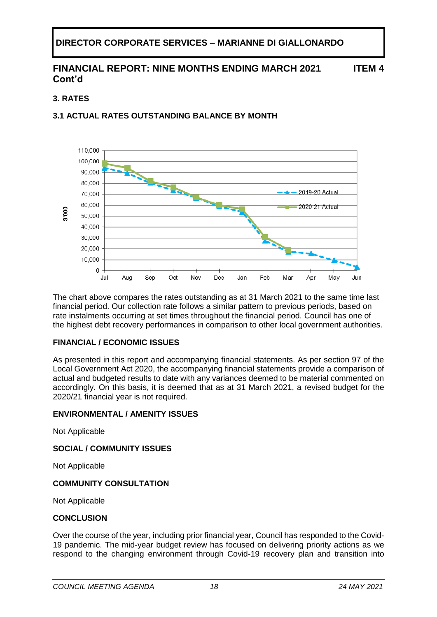#### **FINANCIAL REPORT: NINE MONTHS ENDING MARCH 2021 Cont'd ITEM 4**

## **3. RATES**

## **3.1 ACTUAL RATES OUTSTANDING BALANCE BY MONTH**



The chart above compares the rates outstanding as at 31 March 2021 to the same time last financial period. Our collection rate follows a similar pattern to previous periods, based on rate instalments occurring at set times throughout the financial period. Council has one of the highest debt recovery performances in comparison to other local government authorities.

### **FINANCIAL / ECONOMIC ISSUES**

As presented in this report and accompanying financial statements. As per section 97 of the Local Government Act 2020, the accompanying financial statements provide a comparison of actual and budgeted results to date with any variances deemed to be material commented on accordingly. On this basis, it is deemed that as at 31 March 2021, a revised budget for the 2020/21 financial year is not required.

### **ENVIRONMENTAL / AMENITY ISSUES**

Not Applicable

### **SOCIAL / COMMUNITY ISSUES**

Not Applicable

### **COMMUNITY CONSULTATION**

Not Applicable

### **CONCLUSION**

Over the course of the year, including prior financial year, Council has responded to the Covid-19 pandemic. The mid-year budget review has focused on delivering priority actions as we respond to the changing environment through Covid-19 recovery plan and transition into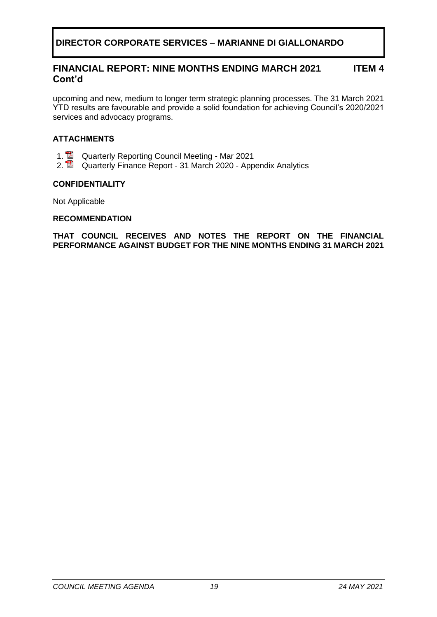#### **FINANCIAL REPORT: NINE MONTHS ENDING MARCH 2021 Cont'd ITEM 4**

upcoming and new, medium to longer term strategic planning processes. The 31 March 2021 YTD results are favourable and provide a solid foundation for achieving Council's 2020/2021 services and advocacy programs.

### **ATTACHMENTS**

- 1. **Quarterly Reporting Council Meeting Mar 2021**
- 2. **2.** Quarterly Finance Report 31 March 2020 Appendix Analytics

### **CONFIDENTIALITY**

Not Applicable

### **RECOMMENDATION**

**THAT COUNCIL RECEIVES AND NOTES THE REPORT ON THE FINANCIAL PERFORMANCE AGAINST BUDGET FOR THE NINE MONTHS ENDING 31 MARCH 2021**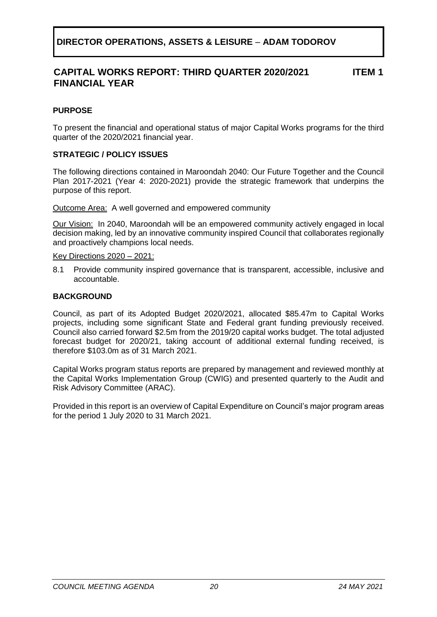## **DIRECTOR OPERATIONS, ASSETS & LEISURE** – **ADAM TODOROV**

#### **CAPITAL WORKS REPORT: THIRD QUARTER 2020/2021 FINANCIAL YEAR ITEM 1**

## <span id="page-19-0"></span>**PURPOSE**

To present the financial and operational status of major Capital Works programs for the third quarter of the 2020/2021 financial year.

### **STRATEGIC / POLICY ISSUES**

The following directions contained in Maroondah 2040: Our Future Together and the Council Plan 2017-2021 (Year 4: 2020-2021) provide the strategic framework that underpins the purpose of this report.

Outcome Area: A well governed and empowered community

Our Vision:In 2040, Maroondah will be an empowered community actively engaged in local decision making, led by an innovative community inspired Council that collaborates regionally and proactively champions local needs.

### Key Directions 2020 – 2021:

8.1 Provide community inspired governance that is transparent, accessible, inclusive and accountable.

### **BACKGROUND**

Council, as part of its Adopted Budget 2020/2021, allocated \$85.47m to Capital Works projects, including some significant State and Federal grant funding previously received. Council also carried forward \$2.5m from the 2019/20 capital works budget. The total adjusted forecast budget for 2020/21, taking account of additional external funding received, is therefore \$103.0m as of 31 March 2021.

Capital Works program status reports are prepared by management and reviewed monthly at the Capital Works Implementation Group (CWIG) and presented quarterly to the Audit and Risk Advisory Committee (ARAC).

Provided in this report is an overview of Capital Expenditure on Council's major program areas for the period 1 July 2020 to 31 March 2021.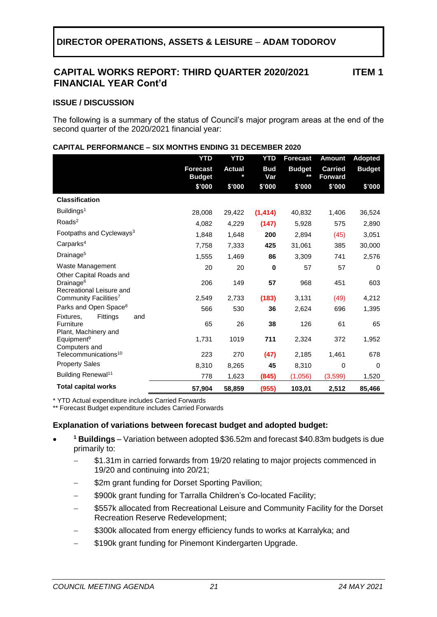## **CAPITAL WORKS REPORT: THIRD QUARTER 2020/2021 FINANCIAL YEAR Cont'd**

### **ISSUE / DISCUSSION**

The following is a summary of the status of Council's major program areas at the end of the second quarter of the 2020/2021 financial year:

|                                                                              | <b>YTD</b>                       | <b>YTD</b>    | <b>YTD</b>        | <b>Forecast</b>     | <b>Amount</b>                    | <b>Adopted</b> |
|------------------------------------------------------------------------------|----------------------------------|---------------|-------------------|---------------------|----------------------------------|----------------|
|                                                                              | <b>Forecast</b><br><b>Budget</b> | <b>Actual</b> | <b>Bud</b><br>Var | <b>Budget</b><br>** | <b>Carried</b><br><b>Forward</b> | <b>Budget</b>  |
|                                                                              | \$'000                           | \$'000        | \$'000            | \$'000              | \$'000                           | \$'000         |
| <b>Classification</b>                                                        |                                  |               |                   |                     |                                  |                |
| Buildings <sup>1</sup>                                                       | 28,008                           | 29,422        | (1, 414)          | 40,832              | 1,406                            | 36,524         |
| Roads <sup>2</sup>                                                           | 4,082                            | 4,229         | (147)             | 5,928               | 575                              | 2,890          |
| Footpaths and Cycleways <sup>3</sup>                                         | 1,848                            | 1,648         | 200               | 2,894               | (45)                             | 3,051          |
| Carparks <sup>4</sup>                                                        | 7,758                            | 7,333         | 425               | 31,061              | 385                              | 30,000         |
| Drainage <sup>5</sup>                                                        | 1,555                            | 1,469         | 86                | 3,309               | 741                              | 2,576          |
| Waste Management                                                             | 20                               | 20            | $\mathbf 0$       | 57                  | 57                               | 0              |
| Other Capital Roads and<br>Drainage <sup>6</sup><br>Recreational Leisure and | 206                              | 149           | 57                | 968                 | 451                              | 603            |
| Community Facilities <sup>7</sup>                                            | 2,549                            | 2,733         | (183)             | 3,131               | (49)                             | 4,212          |
| Parks and Open Space <sup>8</sup>                                            | 566                              | 530           | 36                | 2,624               | 696                              | 1,395          |
| Fixtures,<br>Fittings<br>and<br>Furniture<br>Plant, Machinery and            | 65                               | 26            | 38                | 126                 | 61                               | 65             |
| Equipment <sup>9</sup><br>Computers and                                      | 1,731                            | 1019          | 711               | 2,324               | 372                              | 1,952          |
| Telecommunications <sup>10</sup>                                             | 223                              | 270           | (47)              | 2,185               | 1,461                            | 678            |
| <b>Property Sales</b>                                                        | 8,310                            | 8,265         | 45                | 8,310               | $\Omega$                         | $\Omega$       |
| Building Renewal <sup>11</sup>                                               | 778                              | 1,623         | (845)             | (1,056)             | (3,599)                          | 1,520          |
| <b>Total capital works</b>                                                   | 57,904                           | 58,859        | (955)             | 103,01              | 2,512                            | 85,466         |

### **CAPITAL PERFORMANCE – SIX MONTHS ENDING 31 DECEMBER 2020**

\* YTD Actual expenditure includes Carried Forwards

\*\* Forecast Budget expenditure includes Carried Forwards

### **Explanation of variations between forecast budget and adopted budget:**

- **<sup>1</sup> Buildings** – Variation between adopted \$36.52m and forecast \$40.83m budgets is due primarily to:
	- \$1.31m in carried forwards from 19/20 relating to major projects commenced in 19/20 and continuing into 20/21;
	- \$2m grant funding for Dorset Sporting Pavilion;
	- \$900k grant funding for Tarralla Children's Co-located Facility;
	- \$557k allocated from Recreational Leisure and Community Facility for the Dorset Recreation Reserve Redevelopment;
	- − \$300k allocated from energy efficiency funds to works at Karralyka; and
	- \$190k grant funding for Pinemont Kindergarten Upgrade.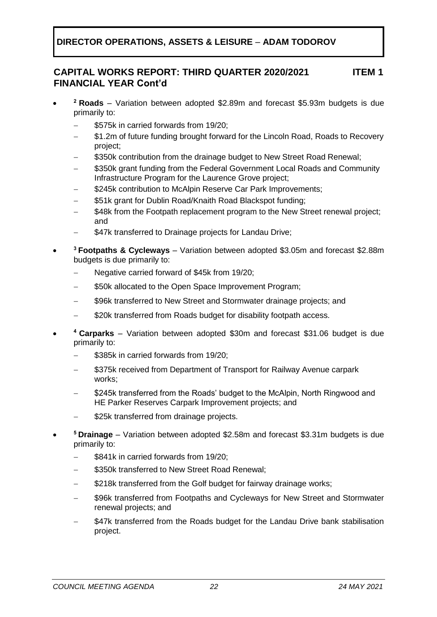## **DIRECTOR OPERATIONS, ASSETS & LEISURE** – **ADAM TODOROV**

#### **CAPITAL WORKS REPORT: THIRD QUARTER 2020/2021 FINANCIAL YEAR Cont'd ITEM 1**

- **<sup>2</sup> Roads** – Variation between adopted \$2.89m and forecast \$5.93m budgets is due primarily to:
	- − \$575k in carried forwards from 19/20;
	- − \$1.2m of future funding brought forward for the Lincoln Road, Roads to Recovery project;
	- \$350k contribution from the drainage budget to New Street Road Renewal;
	- \$350k grant funding from the Federal Government Local Roads and Community Infrastructure Program for the Laurence Grove project;
	- \$245k contribution to McAlpin Reserve Car Park Improvements;
	- \$51k grant for Dublin Road/Knaith Road Blackspot funding;
	- \$48k from the Footpath replacement program to the New Street renewal project; and
	- \$47k transferred to Drainage projects for Landau Drive;
- **<sup>3</sup>Footpaths & Cycleways** – Variation between adopted \$3.05m and forecast \$2.88m budgets is due primarily to:
	- − Negative carried forward of \$45k from 19/20;
	- \$50k allocated to the Open Space Improvement Program;
	- \$96k transferred to New Street and Stormwater drainage projects; and
	- \$20k transferred from Roads budget for disability footpath access.
- **<sup>4</sup>Carparks** – Variation between adopted \$30m and forecast \$31.06 budget is due primarily to:
	- \$385k in carried forwards from 19/20;
	- \$375k received from Department of Transport for Railway Avenue carpark works;
	- − \$245k transferred from the Roads' budget to the McAlpin, North Ringwood and HE Parker Reserves Carpark Improvement projects; and
	- \$25k transferred from drainage projects.
- **<sup>5</sup>Drainage** – Variation between adopted \$2.58m and forecast \$3.31m budgets is due primarily to:
	- − \$841k in carried forwards from 19/20;
	- − \$350k transferred to New Street Road Renewal;
	- \$218k transferred from the Golf budget for fairway drainage works;
	- \$96k transferred from Footpaths and Cycleways for New Street and Stormwater renewal projects; and
	- \$47k transferred from the Roads budget for the Landau Drive bank stabilisation project.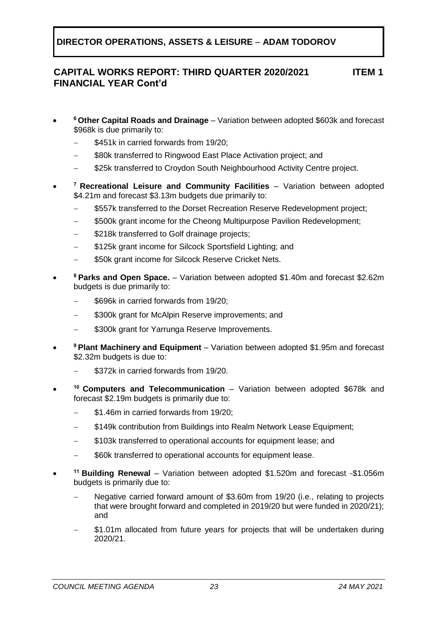**DIRECTOR OPERATIONS, ASSETS & LEISURE** – **ADAM TODOROV**

#### **CAPITAL WORKS REPORT: THIRD QUARTER 2020/2021 FINANCIAL YEAR Cont'd ITEM 1**

- **<sup>6</sup>Other Capital Roads and Drainage** – Variation between adopted \$603k and forecast \$968k is due primarily to:
	- − \$451k in carried forwards from 19/20;
	- \$80k transferred to Ringwood East Place Activation project: and
	- \$25k transferred to Croydon South Neighbourhood Activity Centre project.
- **<sup>7</sup>Recreational Leisure and Community Facilities** – Variation between adopted \$4.21m and forecast \$3.13m budgets due primarily to:
	- \$557k transferred to the Dorset Recreation Reserve Redevelopment project;
	- \$500k grant income for the Cheong Multipurpose Pavilion Redevelopment;
	- \$218k transferred to Golf drainage projects;
	- \$125k grant income for Silcock Sportsfield Lighting; and
	- \$50k grant income for Silcock Reserve Cricket Nets.
- **<sup>8</sup>Parks and Open Space.** – Variation between adopted \$1.40m and forecast \$2.62m budgets is due primarily to:
	- − \$696k in carried forwards from 19/20;
	- \$300k grant for McAlpin Reserve improvements; and
	- \$300k grant for Yarrunga Reserve Improvements.
- **<sup>9</sup>Plant Machinery and Equipment** – Variation between adopted \$1.95m and forecast \$2.32m budgets is due to:
	- \$372k in carried forwards from 19/20.
- **<sup>10</sup>Computers and Telecommunication** – Variation between adopted \$678k and forecast \$2.19m budgets is primarily due to:
	- − \$1.46m in carried forwards from 19/20;
	- \$149k contribution from Buildings into Realm Network Lease Equipment;
	- − \$103k transferred to operational accounts for equipment lease; and
	- \$60k transferred to operational accounts for equipment lease.
- **<sup>11</sup>Building Renewal** – Variation between adopted \$1.520m and forecast -\$1.056m budgets is primarily due to:
	- − Negative carried forward amount of \$3.60m from 19/20 (i.e., relating to projects that were brought forward and completed in 2019/20 but were funded in 2020/21); and
	- \$1.01m allocated from future years for projects that will be undertaken during 2020/21.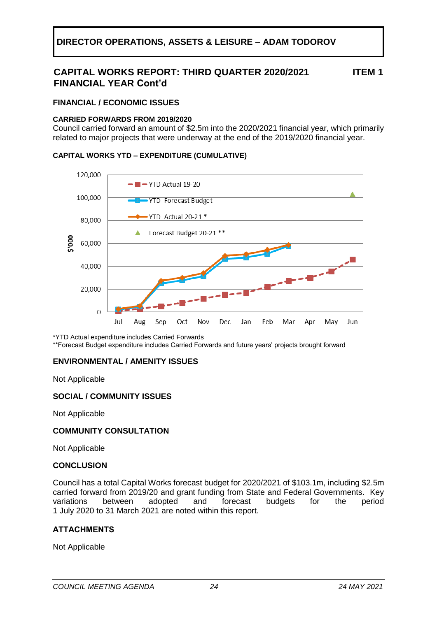## **CAPITAL WORKS REPORT: THIRD QUARTER 2020/2021 FINANCIAL YEAR Cont'd**

**ITEM 1**

### **FINANCIAL / ECONOMIC ISSUES**

### **CARRIED FORWARDS FROM 2019/2020**

Council carried forward an amount of \$2.5m into the 2020/2021 financial year, which primarily related to major projects that were underway at the end of the 2019/2020 financial year.

### **CAPITAL WORKS YTD – EXPENDITURE (CUMULATIVE)**



\*YTD Actual expenditure includes Carried Forwards

\*\*Forecast Budget expenditure includes Carried Forwards and future years' projects brought forward

### **ENVIRONMENTAL / AMENITY ISSUES**

Not Applicable

### **SOCIAL / COMMUNITY ISSUES**

Not Applicable

### **COMMUNITY CONSULTATION**

Not Applicable

### **CONCLUSION**

Council has a total Capital Works forecast budget for 2020/2021 of \$103.1m, including \$2.5m carried forward from 2019/20 and grant funding from State and Federal Governments. Key variations between adopted and forecast budgets for the period 1 July 2020 to 31 March 2021 are noted within this report.

### **ATTACHMENTS**

Not Applicable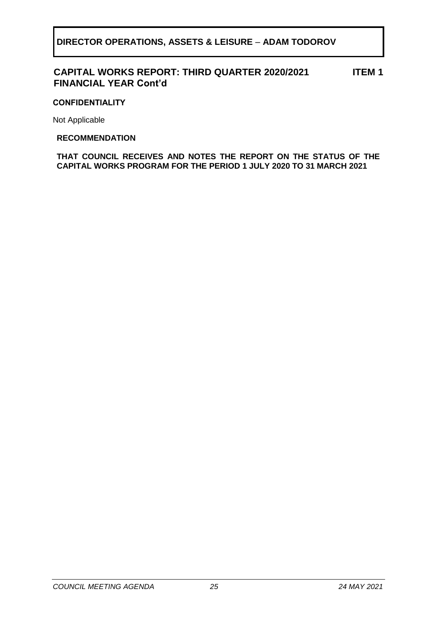#### **CAPITAL WORKS REPORT: THIRD QUARTER 2020/2021 FINANCIAL YEAR Cont'd ITEM 1**

### **CONFIDENTIALITY**

Not Applicable

### **RECOMMENDATION**

**THAT COUNCIL RECEIVES AND NOTES THE REPORT ON THE STATUS OF THE CAPITAL WORKS PROGRAM FOR THE PERIOD 1 JULY 2020 TO 31 MARCH 2021**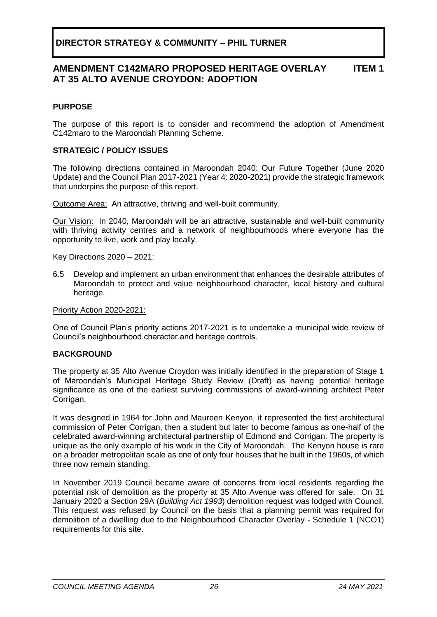#### **AMENDMENT C142MARO PROPOSED HERITAGE OVERLAY AT 35 ALTO AVENUE CROYDON: ADOPTION ITEM 1**

### <span id="page-25-0"></span>**PURPOSE**

The purpose of this report is to consider and recommend the adoption of Amendment C142maro to the Maroondah Planning Scheme.

### **STRATEGIC / POLICY ISSUES**

The following directions contained in Maroondah 2040: Our Future Together (June 2020 Update) and the Council Plan 2017-2021 (Year 4: 2020-2021) provide the strategic framework that underpins the purpose of this report.

Outcome Area:An attractive, thriving and well-built community.

Our Vision:In 2040, Maroondah will be an attractive, sustainable and well-built community with thriving activity centres and a network of neighbourhoods where everyone has the opportunity to live, work and play locally.

### Key Directions 2020 – 2021:

6.5 Develop and implement an urban environment that enhances the desirable attributes of Maroondah to protect and value neighbourhood character, local history and cultural heritage.

Priority Action 2020-2021:

One of Council Plan's priority actions 2017-2021 is to undertake a municipal wide review of Council's neighbourhood character and heritage controls.

### **BACKGROUND**

The property at 35 Alto Avenue Croydon was initially identified in the preparation of Stage 1 of Maroondah's Municipal Heritage Study Review (Draft) as having potential heritage significance as one of the earliest surviving commissions of award-winning architect Peter Corrigan.

It was designed in 1964 for John and Maureen Kenyon, it represented the first architectural commission of Peter Corrigan, then a student but later to become famous as one-half of the celebrated award-winning architectural partnership of Edmond and Corrigan. The property is unique as the only example of his work in the City of Maroondah. The Kenyon house is rare on a broader metropolitan scale as one of only four houses that he built in the 1960s, of which three now remain standing.

In November 2019 Council became aware of concerns from local residents regarding the potential risk of demolition as the property at 35 Alto Avenue was offered for sale. On 31 January 2020 a Section 29A (*Building Act 1993*) demolition request was lodged with Council. This request was refused by Council on the basis that a planning permit was required for demolition of a dwelling due to the Neighbourhood Character Overlay - Schedule 1 (NCO1) requirements for this site.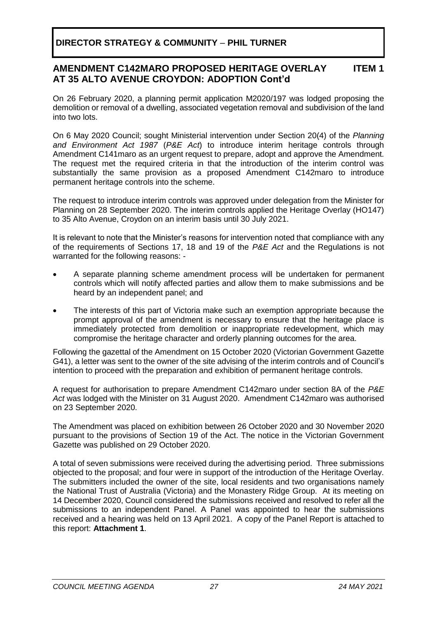#### **AMENDMENT C142MARO PROPOSED HERITAGE OVERLAY AT 35 ALTO AVENUE CROYDON: ADOPTION Cont'd ITEM 1**

On 26 February 2020, a planning permit application M2020/197 was lodged proposing the demolition or removal of a dwelling, associated vegetation removal and subdivision of the land into two lots.

On 6 May 2020 Council; sought Ministerial intervention under Section 20(4) of the *Planning and Environment Act 1987* (*P&E Act*) to introduce interim heritage controls through Amendment C141maro as an urgent request to prepare, adopt and approve the Amendment. The request met the required criteria in that the introduction of the interim control was substantially the same provision as a proposed Amendment C142maro to introduce permanent heritage controls into the scheme.

The request to introduce interim controls was approved under delegation from the Minister for Planning on 28 September 2020. The interim controls applied the Heritage Overlay (HO147) to 35 Alto Avenue, Croydon on an interim basis until 30 July 2021.

It is relevant to note that the Minister's reasons for intervention noted that compliance with any of the requirements of Sections 17, 18 and 19 of the *P&E Act* and the Regulations is not warranted for the following reasons: -

- A separate planning scheme amendment process will be undertaken for permanent controls which will notify affected parties and allow them to make submissions and be heard by an independent panel; and
- The interests of this part of Victoria make such an exemption appropriate because the prompt approval of the amendment is necessary to ensure that the heritage place is immediately protected from demolition or inappropriate redevelopment, which may compromise the heritage character and orderly planning outcomes for the area.

Following the gazettal of the Amendment on 15 October 2020 (Victorian Government Gazette G41), a letter was sent to the owner of the site advising of the interim controls and of Council's intention to proceed with the preparation and exhibition of permanent heritage controls.

A request for authorisation to prepare Amendment C142maro under section 8A of the *P&E Act* was lodged with the Minister on 31 August 2020. Amendment C142maro was authorised on 23 September 2020.

The Amendment was placed on exhibition between 26 October 2020 and 30 November 2020 pursuant to the provisions of Section 19 of the Act. The notice in the Victorian Government Gazette was published on 29 October 2020.

A total of seven submissions were received during the advertising period. Three submissions objected to the proposal; and four were in support of the introduction of the Heritage Overlay. The submitters included the owner of the site, local residents and two organisations namely the National Trust of Australia (Victoria) and the Monastery Ridge Group. At its meeting on 14 December 2020, Council considered the submissions received and resolved to refer all the submissions to an independent Panel. A Panel was appointed to hear the submissions received and a hearing was held on 13 April 2021. A copy of the Panel Report is attached to this report: **Attachment 1**.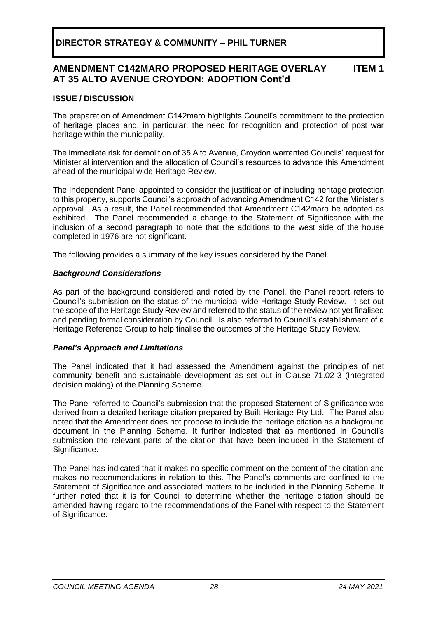#### **AMENDMENT C142MARO PROPOSED HERITAGE OVERLAY AT 35 ALTO AVENUE CROYDON: ADOPTION Cont'd ITEM 1**

### **ISSUE / DISCUSSION**

The preparation of Amendment C142maro highlights Council's commitment to the protection of heritage places and, in particular, the need for recognition and protection of post war heritage within the municipality.

The immediate risk for demolition of 35 Alto Avenue, Croydon warranted Councils' request for Ministerial intervention and the allocation of Council's resources to advance this Amendment ahead of the municipal wide Heritage Review.

The Independent Panel appointed to consider the justification of including heritage protection to this property, supports Council's approach of advancing Amendment C142 for the Minister's approval. As a result, the Panel recommended that Amendment C142maro be adopted as exhibited. The Panel recommended a change to the Statement of Significance with the inclusion of a second paragraph to note that the additions to the west side of the house completed in 1976 are not significant.

The following provides a summary of the key issues considered by the Panel.

### *Background Considerations*

As part of the background considered and noted by the Panel, the Panel report refers to Council's submission on the status of the municipal wide Heritage Study Review. It set out the scope of the Heritage Study Review and referred to the status of the review not yet finalised and pending formal consideration by Council. Is also referred to Council's establishment of a Heritage Reference Group to help finalise the outcomes of the Heritage Study Review.

### *Panel's Approach and Limitations*

The Panel indicated that it had assessed the Amendment against the principles of net community benefit and sustainable development as set out in Clause 71.02-3 (Integrated decision making) of the Planning Scheme.

The Panel referred to Council's submission that the proposed Statement of Significance was derived from a detailed heritage citation prepared by Built Heritage Pty Ltd. The Panel also noted that the Amendment does not propose to include the heritage citation as a background document in the Planning Scheme. It further indicated that as mentioned in Council's submission the relevant parts of the citation that have been included in the Statement of Significance.

The Panel has indicated that it makes no specific comment on the content of the citation and makes no recommendations in relation to this. The Panel's comments are confined to the Statement of Significance and associated matters to be included in the Planning Scheme. It further noted that it is for Council to determine whether the heritage citation should be amended having regard to the recommendations of the Panel with respect to the Statement of Significance.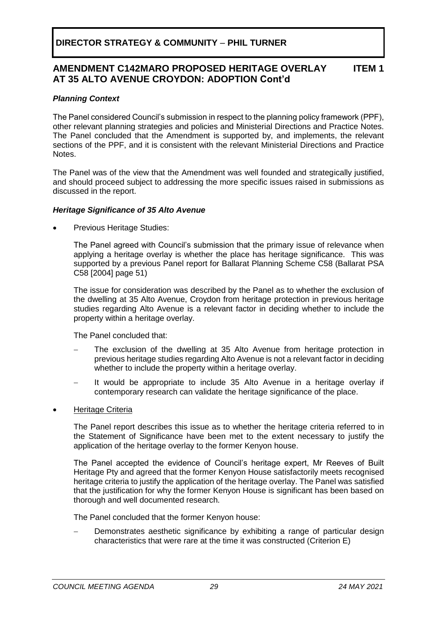#### **AMENDMENT C142MARO PROPOSED HERITAGE OVERLAY AT 35 ALTO AVENUE CROYDON: ADOPTION Cont'd ITEM 1**

### *Planning Context*

The Panel considered Council's submission in respect to the planning policy framework (PPF), other relevant planning strategies and policies and Ministerial Directions and Practice Notes. The Panel concluded that the Amendment is supported by, and implements, the relevant sections of the PPF, and it is consistent with the relevant Ministerial Directions and Practice Notes.

The Panel was of the view that the Amendment was well founded and strategically justified, and should proceed subject to addressing the more specific issues raised in submissions as discussed in the report.

### *Heritage Significance of 35 Alto Avenue*

Previous Heritage Studies:

The Panel agreed with Council's submission that the primary issue of relevance when applying a heritage overlay is whether the place has heritage significance. This was supported by a previous Panel report for Ballarat Planning Scheme C58 (Ballarat PSA C58 [2004] page 51)

The issue for consideration was described by the Panel as to whether the exclusion of the dwelling at 35 Alto Avenue, Croydon from heritage protection in previous heritage studies regarding Alto Avenue is a relevant factor in deciding whether to include the property within a heritage overlay.

The Panel concluded that:

- The exclusion of the dwelling at 35 Alto Avenue from heritage protection in previous heritage studies regarding Alto Avenue is not a relevant factor in deciding whether to include the property within a heritage overlay.
- It would be appropriate to include 35 Alto Avenue in a heritage overlay if contemporary research can validate the heritage significance of the place.
- Heritage Criteria

The Panel report describes this issue as to whether the heritage criteria referred to in the Statement of Significance have been met to the extent necessary to justify the application of the heritage overlay to the former Kenyon house.

The Panel accepted the evidence of Council's heritage expert, Mr Reeves of Built Heritage Pty and agreed that the former Kenyon House satisfactorily meets recognised heritage criteria to justify the application of the heritage overlay. The Panel was satisfied that the justification for why the former Kenyon House is significant has been based on thorough and well documented research.

The Panel concluded that the former Kenyon house:

Demonstrates aesthetic significance by exhibiting a range of particular design characteristics that were rare at the time it was constructed (Criterion E)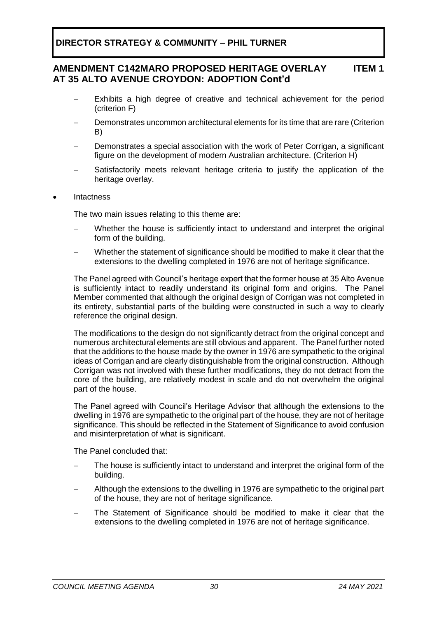#### **AMENDMENT C142MARO PROPOSED HERITAGE OVERLAY AT 35 ALTO AVENUE CROYDON: ADOPTION Cont'd ITEM 1**

- Exhibits a high degree of creative and technical achievement for the period (criterion F)
- Demonstrates uncommon architectural elements for its time that are rare (Criterion B)
- Demonstrates a special association with the work of Peter Corrigan, a significant figure on the development of modern Australian architecture. (Criterion H)
- Satisfactorily meets relevant heritage criteria to justify the application of the heritage overlay.
- **Intactness**

The two main issues relating to this theme are:

- Whether the house is sufficiently intact to understand and interpret the original form of the building.
- Whether the statement of significance should be modified to make it clear that the extensions to the dwelling completed in 1976 are not of heritage significance.

The Panel agreed with Council's heritage expert that the former house at 35 Alto Avenue is sufficiently intact to readily understand its original form and origins. The Panel Member commented that although the original design of Corrigan was not completed in its entirety, substantial parts of the building were constructed in such a way to clearly reference the original design.

The modifications to the design do not significantly detract from the original concept and numerous architectural elements are still obvious and apparent. The Panel further noted that the additions to the house made by the owner in 1976 are sympathetic to the original ideas of Corrigan and are clearly distinguishable from the original construction. Although Corrigan was not involved with these further modifications, they do not detract from the core of the building, are relatively modest in scale and do not overwhelm the original part of the house.

The Panel agreed with Council's Heritage Advisor that although the extensions to the dwelling in 1976 are sympathetic to the original part of the house, they are not of heritage significance. This should be reflected in the Statement of Significance to avoid confusion and misinterpretation of what is significant.

The Panel concluded that:

- The house is sufficiently intact to understand and interpret the original form of the building.
- − Although the extensions to the dwelling in 1976 are sympathetic to the original part of the house, they are not of heritage significance.
- The Statement of Significance should be modified to make it clear that the extensions to the dwelling completed in 1976 are not of heritage significance.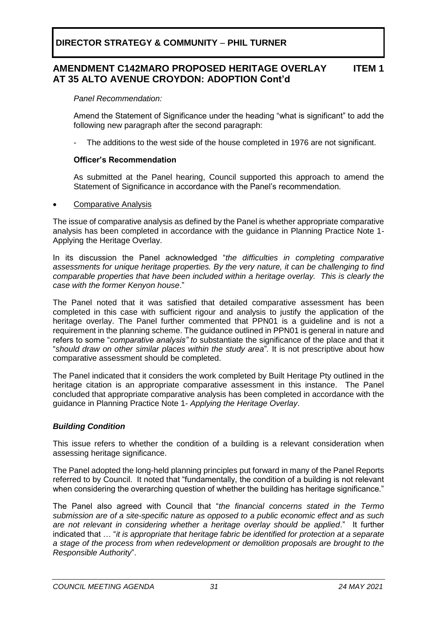#### **AMENDMENT C142MARO PROPOSED HERITAGE OVERLAY AT 35 ALTO AVENUE CROYDON: ADOPTION Cont'd ITEM 1**

*Panel Recommendation:*

Amend the Statement of Significance under the heading "what is significant" to add the following new paragraph after the second paragraph:

The additions to the west side of the house completed in 1976 are not significant.

### **Officer's Recommendation**

As submitted at the Panel hearing, Council supported this approach to amend the Statement of Significance in accordance with the Panel's recommendation.

### • Comparative Analysis

The issue of comparative analysis as defined by the Panel is whether appropriate comparative analysis has been completed in accordance with the guidance in Planning Practice Note 1- Applying the Heritage Overlay.

In its discussion the Panel acknowledged "*the difficulties in completing comparative assessments for unique heritage properties. By the very nature, it can be challenging to find comparable properties that have been included within a heritage overlay. This is clearly the case with the former Kenyon house*."

The Panel noted that it was satisfied that detailed comparative assessment has been completed in this case with sufficient rigour and analysis to justify the application of the heritage overlay. The Panel further commented that PPN01 is a guideline and is not a requirement in the planning scheme. The guidance outlined in PPN01 is general in nature and refers to some "*comparative analysis" to* substantiate the significance of the place and that it "*should draw on other similar places within the study area*"*.* It is not prescriptive about how comparative assessment should be completed.

The Panel indicated that it considers the work completed by Built Heritage Pty outlined in the heritage citation is an appropriate comparative assessment in this instance. The Panel concluded that appropriate comparative analysis has been completed in accordance with the guidance in Planning Practice Note 1- *Applying the Heritage Overlay*.

### *Building Condition*

This issue refers to whether the condition of a building is a relevant consideration when assessing heritage significance.

The Panel adopted the long-held planning principles put forward in many of the Panel Reports referred to by Council. It noted that "fundamentally, the condition of a building is not relevant when considering the overarching question of whether the building has heritage significance."

The Panel also agreed with Council that "*the financial concerns stated in the Termo submission are of a site-specific nature as opposed to a public economic effect and as such are not relevant in considering whether a heritage overlay should be applied*." It further indicated that … "*it is appropriate that heritage fabric be identified for protection at a separate a stage of the process from when redevelopment or demolition proposals are brought to the Responsible Authority*".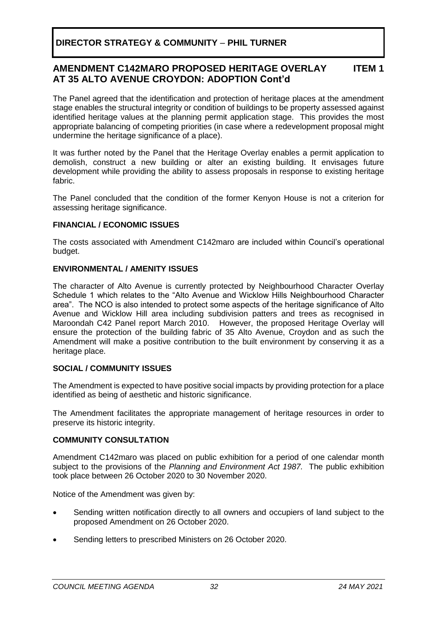#### **AMENDMENT C142MARO PROPOSED HERITAGE OVERLAY AT 35 ALTO AVENUE CROYDON: ADOPTION Cont'd ITEM 1**

The Panel agreed that the identification and protection of heritage places at the amendment stage enables the structural integrity or condition of buildings to be property assessed against identified heritage values at the planning permit application stage. This provides the most appropriate balancing of competing priorities (in case where a redevelopment proposal might undermine the heritage significance of a place).

It was further noted by the Panel that the Heritage Overlay enables a permit application to demolish, construct a new building or alter an existing building. It envisages future development while providing the ability to assess proposals in response to existing heritage fabric.

The Panel concluded that the condition of the former Kenyon House is not a criterion for assessing heritage significance.

### **FINANCIAL / ECONOMIC ISSUES**

The costs associated with Amendment C142maro are included within Council's operational budget.

### **ENVIRONMENTAL / AMENITY ISSUES**

The character of Alto Avenue is currently protected by Neighbourhood Character Overlay Schedule 1 which relates to the "Alto Avenue and Wicklow Hills Neighbourhood Character area". The NCO is also intended to protect some aspects of the heritage significance of Alto Avenue and Wicklow Hill area including subdivision patters and trees as recognised in Maroondah C42 Panel report March 2010. However, the proposed Heritage Overlay will ensure the protection of the building fabric of 35 Alto Avenue, Croydon and as such the Amendment will make a positive contribution to the built environment by conserving it as a heritage place.

### **SOCIAL / COMMUNITY ISSUES**

The Amendment is expected to have positive social impacts by providing protection for a place identified as being of aesthetic and historic significance.

The Amendment facilitates the appropriate management of heritage resources in order to preserve its historic integrity.

### **COMMUNITY CONSULTATION**

Amendment C142maro was placed on public exhibition for a period of one calendar month subject to the provisions of the *Planning and Environment Act 1987.* The public exhibition took place between 26 October 2020 to 30 November 2020.

Notice of the Amendment was given by:

- Sending written notification directly to all owners and occupiers of land subject to the proposed Amendment on 26 October 2020.
- Sending letters to prescribed Ministers on 26 October 2020.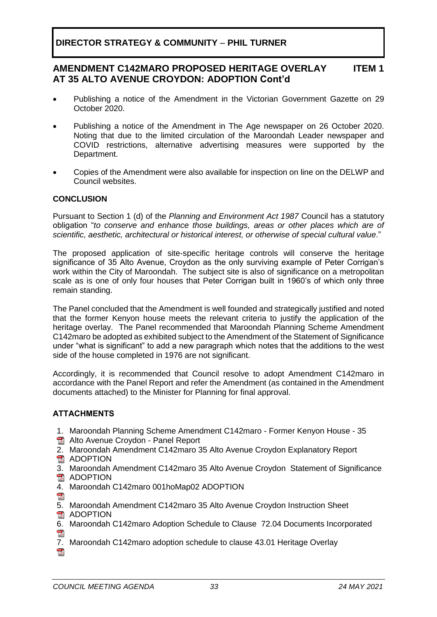#### **AMENDMENT C142MARO PROPOSED HERITAGE OVERLAY AT 35 ALTO AVENUE CROYDON: ADOPTION Cont'd ITEM 1**

- Publishing a notice of the Amendment in the Victorian Government Gazette on 29 October 2020.
- Publishing a notice of the Amendment in The Age newspaper on 26 October 2020. Noting that due to the limited circulation of the Maroondah Leader newspaper and COVID restrictions, alternative advertising measures were supported by the Department.
- Copies of the Amendment were also available for inspection on line on the DELWP and Council websites.

### **CONCLUSION**

Pursuant to Section 1 (d) of the *Planning and Environment Act 1987* Council has a statutory obligation "*to conserve and enhance those buildings, areas or other places which are of scientific, aesthetic, architectural or historical interest, or otherwise of special cultural value*."

The proposed application of site-specific heritage controls will conserve the heritage significance of 35 Alto Avenue, Croydon as the only surviving example of Peter Corrigan's work within the City of Maroondah. The subject site is also of significance on a metropolitan scale as is one of only four houses that Peter Corrigan built in 1960's of which only three remain standing.

The Panel concluded that the Amendment is well founded and strategically justified and noted that the former Kenyon house meets the relevant criteria to justify the application of the heritage overlay. The Panel recommended that Maroondah Planning Scheme Amendment C142maro be adopted as exhibited subject to the Amendment of the Statement of Significance under "what is significant" to add a new paragraph which notes that the additions to the west side of the house completed in 1976 are not significant.

Accordingly, it is recommended that Council resolve to adopt Amendment C142maro in accordance with the Panel Report and refer the Amendment (as contained in the Amendment documents attached) to the Minister for Planning for final approval.

### **ATTACHMENTS**

- 1. Maroondah Planning Scheme Amendment C142maro Former Kenyon House 35
- **图 Alto Avenue Croydon Panel Report**
- 2. Maroondah Amendment C142maro 35 Alto Avenue Croydon Explanatory Report
- **图 ADOPTION**
- 3. Maroondah Amendment C142maro 35 Alto Avenue Croydon Statement of Significance **ADOPTION**
- 4. Maroondah C142maro 001hoMap02 ADOPTION
- $\mathbb{R}$
- 5. Maroondah Amendment C142maro 35 Alto Avenue Croydon Instruction Sheet
- **图 ADOPTION**
- 6. Maroondah C142maro Adoption Schedule to Clause 72.04 Documents Incorporated
- 7. Maroondah C142maro adoption schedule to clause 43.01 Heritage Overlay $\overline{a}$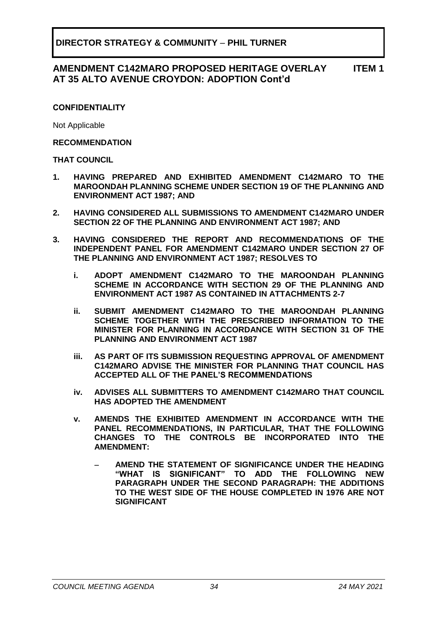#### **AMENDMENT C142MARO PROPOSED HERITAGE OVERLAY AT 35 ALTO AVENUE CROYDON: ADOPTION Cont'd ITEM 1**

### **CONFIDENTIALITY**

Not Applicable

### **RECOMMENDATION**

### **THAT COUNCIL**

- **1. HAVING PREPARED AND EXHIBITED AMENDMENT C142MARO TO THE MAROONDAH PLANNING SCHEME UNDER SECTION 19 OF THE PLANNING AND ENVIRONMENT ACT 1987; AND**
- **2. HAVING CONSIDERED ALL SUBMISSIONS TO AMENDMENT C142MARO UNDER SECTION 22 OF THE PLANNING AND ENVIRONMENT ACT 1987; AND**
- **3. HAVING CONSIDERED THE REPORT AND RECOMMENDATIONS OF THE INDEPENDENT PANEL FOR AMENDMENT C142MARO UNDER SECTION 27 OF THE PLANNING AND ENVIRONMENT ACT 1987; RESOLVES TO**
	- **i. ADOPT AMENDMENT C142MARO TO THE MAROONDAH PLANNING SCHEME IN ACCORDANCE WITH SECTION 29 OF THE PLANNING AND ENVIRONMENT ACT 1987 AS CONTAINED IN ATTACHMENTS 2-7**
	- **ii. SUBMIT AMENDMENT C142MARO TO THE MAROONDAH PLANNING SCHEME TOGETHER WITH THE PRESCRIBED INFORMATION TO THE MINISTER FOR PLANNING IN ACCORDANCE WITH SECTION 31 OF THE PLANNING AND ENVIRONMENT ACT 1987**
	- **iii. AS PART OF ITS SUBMISSION REQUESTING APPROVAL OF AMENDMENT C142MARO ADVISE THE MINISTER FOR PLANNING THAT COUNCIL HAS ACCEPTED ALL OF THE PANEL'S RECOMMENDATIONS**
	- **iv. ADVISES ALL SUBMITTERS TO AMENDMENT C142MARO THAT COUNCIL HAS ADOPTED THE AMENDMENT**
	- **v. AMENDS THE EXHIBITED AMENDMENT IN ACCORDANCE WITH THE PANEL RECOMMENDATIONS, IN PARTICULAR, THAT THE FOLLOWING CHANGES TO THE CONTROLS BE INCORPORATED INTO THE AMENDMENT:**
		- − **AMEND THE STATEMENT OF SIGNIFICANCE UNDER THE HEADING "WHAT IS SIGNIFICANT" TO ADD THE FOLLOWING NEW PARAGRAPH UNDER THE SECOND PARAGRAPH: THE ADDITIONS TO THE WEST SIDE OF THE HOUSE COMPLETED IN 1976 ARE NOT SIGNIFICANT**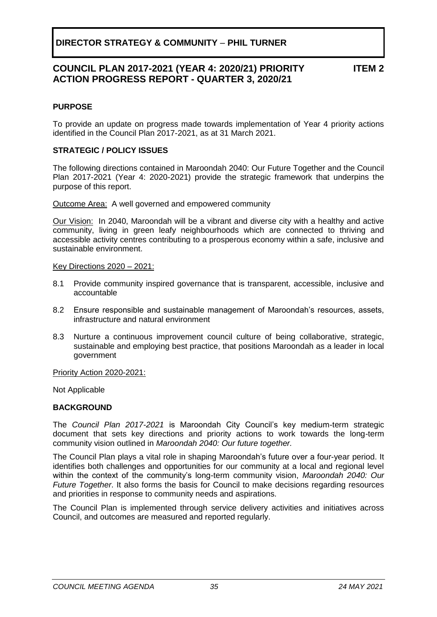## **COUNCIL PLAN 2017-2021 (YEAR 4: 2020/21) PRIORITY ACTION PROGRESS REPORT - QUARTER 3, 2020/21**

**ITEM 2**

### <span id="page-34-0"></span>**PURPOSE**

To provide an update on progress made towards implementation of Year 4 priority actions identified in the Council Plan 2017-2021, as at 31 March 2021.

### **STRATEGIC / POLICY ISSUES**

The following directions contained in Maroondah 2040: Our Future Together and the Council Plan 2017-2021 (Year 4: 2020-2021) provide the strategic framework that underpins the purpose of this report.

Outcome Area:A well governed and empowered community

Our Vision:In 2040, Maroondah will be a vibrant and diverse city with a healthy and active community, living in green leafy neighbourhoods which are connected to thriving and accessible activity centres contributing to a prosperous economy within a safe, inclusive and sustainable environment.

Key Directions 2020 – 2021:

- 8.1 Provide community inspired governance that is transparent, accessible, inclusive and accountable
- 8.2 Ensure responsible and sustainable management of Maroondah's resources, assets, infrastructure and natural environment
- 8.3 Nurture a continuous improvement council culture of being collaborative, strategic, sustainable and employing best practice, that positions Maroondah as a leader in local government

Priority Action 2020-2021:

Not Applicable

### **BACKGROUND**

The *Council Plan 2017-2021* is Maroondah City Council's key medium-term strategic document that sets key directions and priority actions to work towards the long-term community vision outlined in *Maroondah 2040: Our future together.*

The Council Plan plays a vital role in shaping Maroondah's future over a four-year period. It identifies both challenges and opportunities for our community at a local and regional level within the context of the community's long-term community vision, *Maroondah 2040: Our Future Together*. It also forms the basis for Council to make decisions regarding resources and priorities in response to community needs and aspirations.

The Council Plan is implemented through service delivery activities and initiatives across Council, and outcomes are measured and reported regularly.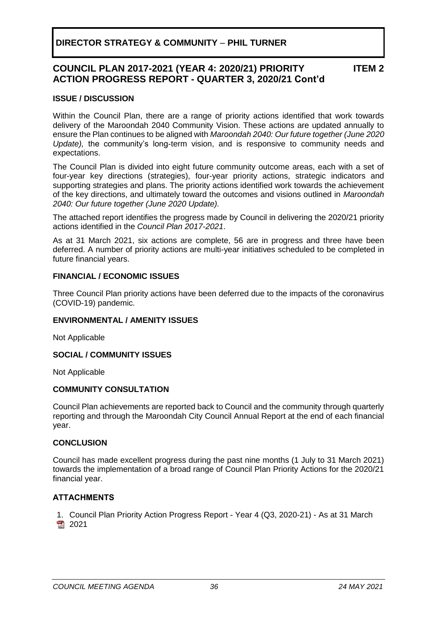#### **COUNCIL PLAN 2017-2021 (YEAR 4: 2020/21) PRIORITY ACTION PROGRESS REPORT - QUARTER 3, 2020/21 Cont'd ITEM 2**

### **ISSUE / DISCUSSION**

Within the Council Plan, there are a range of priority actions identified that work towards delivery of the Maroondah 2040 Community Vision. These actions are updated annually to ensure the Plan continues to be aligned with *Maroondah 2040: Our future together (June 2020 Update),* the community's long-term vision, and is responsive to community needs and expectations.

The Council Plan is divided into eight future community outcome areas, each with a set of four-year key directions (strategies), four-year priority actions, strategic indicators and supporting strategies and plans. The priority actions identified work towards the achievement of the key directions, and ultimately toward the outcomes and visions outlined in *Maroondah 2040: Our future together (June 2020 Update).*

The attached report identifies the progress made by Council in delivering the 2020/21 priority actions identified in the *Council Plan 2017-2021*.

As at 31 March 2021, six actions are complete, 56 are in progress and three have been deferred. A number of priority actions are multi-year initiatives scheduled to be completed in future financial years.

### **FINANCIAL / ECONOMIC ISSUES**

Three Council Plan priority actions have been deferred due to the impacts of the coronavirus (COVID-19) pandemic.

### **ENVIRONMENTAL / AMENITY ISSUES**

Not Applicable

### **SOCIAL / COMMUNITY ISSUES**

Not Applicable

### **COMMUNITY CONSULTATION**

Council Plan achievements are reported back to Council and the community through quarterly reporting and through the Maroondah City Council Annual Report at the end of each financial year.

### **CONCLUSION**

Council has made excellent progress during the past nine months (1 July to 31 March 2021) towards the implementation of a broad range of Council Plan Priority Actions for the 2020/21 financial year.

### **ATTACHMENTS**

1. Council Plan Priority Action Progress Report - Year 4 (Q3, 2020-21) - As at 31 March 图 2021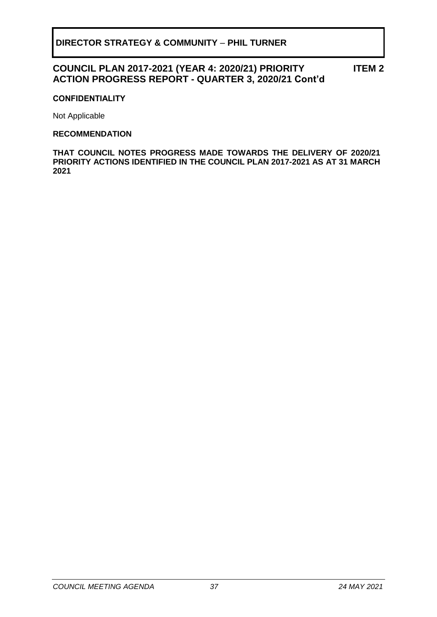## **COUNCIL PLAN 2017-2021 (YEAR 4: 2020/21) PRIORITY ACTION PROGRESS REPORT - QUARTER 3, 2020/21 Cont'd**

**ITEM 2**

### **CONFIDENTIALITY**

Not Applicable

### **RECOMMENDATION**

**THAT COUNCIL NOTES PROGRESS MADE TOWARDS THE DELIVERY OF 2020/21 PRIORITY ACTIONS IDENTIFIED IN THE COUNCIL PLAN 2017-2021 AS AT 31 MARCH 2021**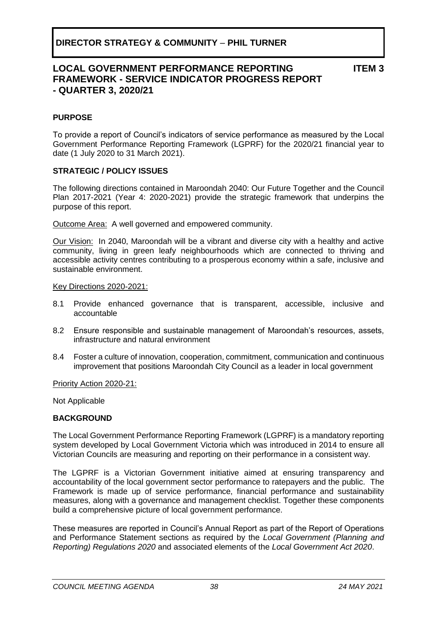## **LOCAL GOVERNMENT PERFORMANCE REPORTING FRAMEWORK - SERVICE INDICATOR PROGRESS REPORT - QUARTER 3, 2020/21**

**ITEM 3**

### <span id="page-37-0"></span>**PURPOSE**

To provide a report of Council's indicators of service performance as measured by the Local Government Performance Reporting Framework (LGPRF) for the 2020/21 financial year to date (1 July 2020 to 31 March 2021).

### **STRATEGIC / POLICY ISSUES**

The following directions contained in Maroondah 2040: Our Future Together and the Council Plan 2017-2021 (Year 4: 2020-2021) provide the strategic framework that underpins the purpose of this report.

Outcome Area:A well governed and empowered community.

Our Vision:In 2040, Maroondah will be a vibrant and diverse city with a healthy and active community, living in green leafy neighbourhoods which are connected to thriving and accessible activity centres contributing to a prosperous economy within a safe, inclusive and sustainable environment.

### Key Directions 2020-2021:

- 8.1 Provide enhanced governance that is transparent, accessible, inclusive and accountable
- 8.2 Ensure responsible and sustainable management of Maroondah's resources, assets, infrastructure and natural environment
- 8.4 Foster a culture of innovation, cooperation, commitment, communication and continuous improvement that positions Maroondah City Council as a leader in local government

Priority Action 2020-21:

Not Applicable

### **BACKGROUND**

The Local Government Performance Reporting Framework (LGPRF) is a mandatory reporting system developed by Local Government Victoria which was introduced in 2014 to ensure all Victorian Councils are measuring and reporting on their performance in a consistent way.

The LGPRF is a Victorian Government initiative aimed at ensuring transparency and accountability of the local government sector performance to ratepayers and the public. The Framework is made up of service performance, financial performance and sustainability measures, along with a governance and management checklist. Together these components build a comprehensive picture of local government performance.

These measures are reported in Council's Annual Report as part of the Report of Operations and Performance Statement sections as required by the *Local Government (Planning and Reporting) Regulations 2020* and associated elements of the *Local Government Act 2020*.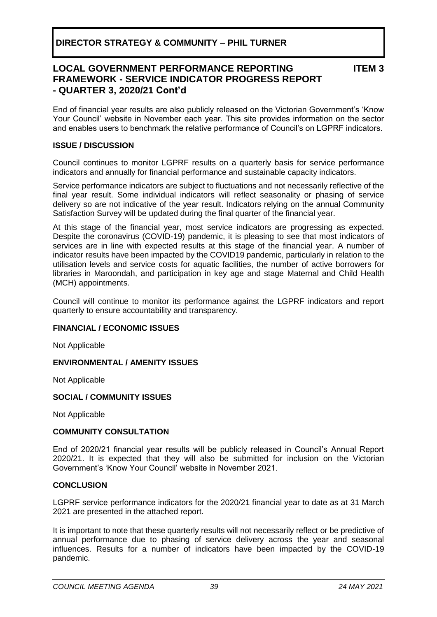## **LOCAL GOVERNMENT PERFORMANCE REPORTING FRAMEWORK - SERVICE INDICATOR PROGRESS REPORT - QUARTER 3, 2020/21 Cont'd**

**ITEM 3**

End of financial year results are also publicly released on the Victorian Government's 'Know Your Council' website in November each year. This site provides information on the sector and enables users to benchmark the relative performance of Council's on LGPRF indicators.

### **ISSUE / DISCUSSION**

Council continues to monitor LGPRF results on a quarterly basis for service performance indicators and annually for financial performance and sustainable capacity indicators.

Service performance indicators are subject to fluctuations and not necessarily reflective of the final year result. Some individual indicators will reflect seasonality or phasing of service delivery so are not indicative of the year result. Indicators relying on the annual Community Satisfaction Survey will be updated during the final quarter of the financial year.

At this stage of the financial year, most service indicators are progressing as expected. Despite the coronavirus (COVID-19) pandemic, it is pleasing to see that most indicators of services are in line with expected results at this stage of the financial year. A number of indicator results have been impacted by the COVID19 pandemic, particularly in relation to the utilisation levels and service costs for aquatic facilities, the number of active borrowers for libraries in Maroondah, and participation in key age and stage Maternal and Child Health (MCH) appointments.

Council will continue to monitor its performance against the LGPRF indicators and report quarterly to ensure accountability and transparency.

### **FINANCIAL / ECONOMIC ISSUES**

Not Applicable

### **ENVIRONMENTAL / AMENITY ISSUES**

Not Applicable

### **SOCIAL / COMMUNITY ISSUES**

Not Applicable

### **COMMUNITY CONSULTATION**

End of 2020/21 financial year results will be publicly released in Council's Annual Report 2020/21. It is expected that they will also be submitted for inclusion on the Victorian Government's 'Know Your Council' website in November 2021.

### **CONCLUSION**

LGPRF service performance indicators for the 2020/21 financial year to date as at 31 March 2021 are presented in the attached report.

It is important to note that these quarterly results will not necessarily reflect or be predictive of annual performance due to phasing of service delivery across the year and seasonal influences. Results for a number of indicators have been impacted by the COVID-19 pandemic.